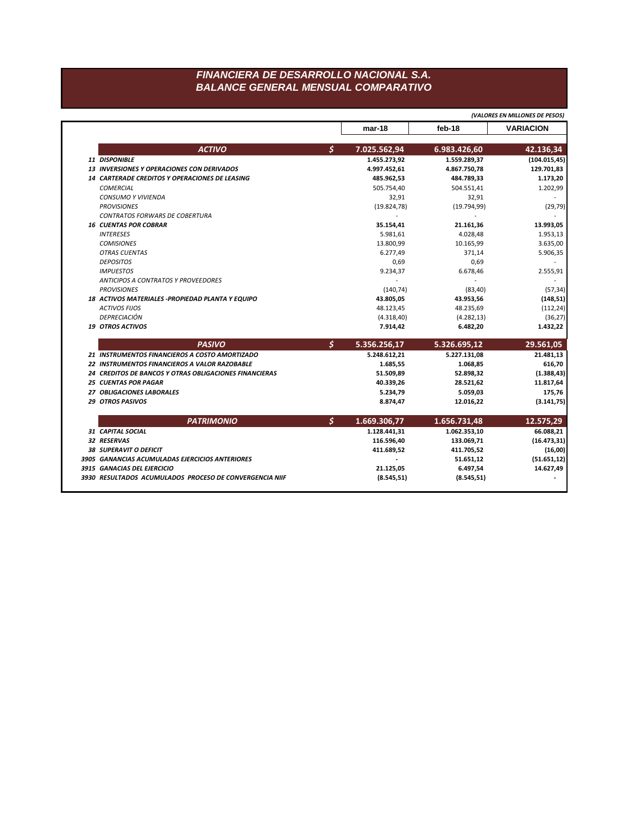## *FINANCIERA DE DESARROLLO NACIONAL S.A. BALANCE GENERAL MENSUAL COMPARATIVO*

|                                                                                |    |              |                       | (VALORES EN MILLONES DE PESOS) |
|--------------------------------------------------------------------------------|----|--------------|-----------------------|--------------------------------|
|                                                                                |    | $mar-18$     | feb-18                | <b>VARIACION</b>               |
| <b>ACTIVO</b>                                                                  | \$ | 7.025.562,94 | 6.983.426,60          | 42.136,34                      |
| 11 DISPONIBLE                                                                  |    | 1.455.273,92 | 1.559.289,37          | (104.015, 45)                  |
| <b>13 INVERSIONES Y OPERACIONES CON DERIVADOS</b>                              |    | 4.997.452,61 | 4.867.750,78          | 129.701,83                     |
| <b>14 CARTERADE CREDITOS Y OPERACIONES DE LEASING</b>                          |    | 485.962,53   | 484.789,33            | 1.173,20                       |
| <b>COMERCIAL</b>                                                               |    | 505.754,40   | 504.551,41            | 1.202,99                       |
| <b>CONSUMO Y VIVIENDA</b>                                                      |    | 32,91        | 32,91                 |                                |
| <b>PROVISIONES</b>                                                             |    | (19.824, 78) | (19.794, 99)          | (29, 79)                       |
| <b>CONTRATOS FORWARS DE COBERTURA</b>                                          |    |              |                       |                                |
| <b>16 CUENTAS POR COBRAR</b>                                                   |    | 35.154,41    | 21.161,36             | 13.993,05                      |
| <b>INTERESES</b>                                                               |    | 5.981,61     | 4.028,48              | 1.953,13                       |
| <b>COMISIONES</b>                                                              |    | 13.800,99    | 10.165,99             | 3.635,00                       |
| <b>OTRAS CUENTAS</b>                                                           |    | 6.277,49     | 371,14                | 5.906,35                       |
| <b>DEPOSITOS</b>                                                               |    | 0,69         | 0,69                  |                                |
| <b>IMPUESTOS</b>                                                               |    | 9.234,37     | 6.678,46              | 2.555,91                       |
| ANTICIPOS A CONTRATOS Y PROVEEDORES                                            |    |              |                       |                                |
| <b>PROVISIONES</b>                                                             |    | (140, 74)    | (83, 40)              | (57, 34)                       |
| 18 ACTIVOS MATERIALES - PROPIEDAD PLANTA Y EQUIPO                              |    | 43.805,05    | 43.953,56             | (148, 51)                      |
| <b>ACTIVOS FUOS</b>                                                            |    | 48.123,45    | 48.235,69             | (112, 24)                      |
| <b>DEPRECIACIÓN</b>                                                            |    | (4.318, 40)  | (4.282, 13)           | (36, 27)                       |
| <b>19 OTROS ACTIVOS</b>                                                        |    | 7.914,42     | 6.482,20              | 1.432,22                       |
| <b>PASIVO</b>                                                                  | \$ | 5.356.256,17 | 5.326.695,12          | 29.561,05                      |
| 21 INSTRUMENTOS FINANCIEROS A COSTO AMORTIZADO                                 |    | 5.248.612,21 | 5.227.131,08          | 21.481,13                      |
| 22 INSTRUMENTOS FINANCIEROS A VALOR RAZOBABLE                                  |    | 1.685,55     | 1.068,85              | 616,70                         |
| 24 CREDITOS DE BANCOS Y OTRAS OBLIGACIONES FINANCIERAS                         |    | 51.509,89    | 52.898,32             | (1.388, 43)                    |
| <b>25 CUENTAS POR PAGAR</b>                                                    |    | 40.339,26    | 28.521,62             | 11.817,64                      |
| 27 OBLIGACIONES LABORALES                                                      |    | 5.234,79     | 5.059,03              | 175,76                         |
| <b>29 OTROS PASIVOS</b>                                                        |    | 8.874,47     | 12.016,22             | (3.141, 75)                    |
| <b>PATRIMONIO</b>                                                              | s. | 1.669.306,77 | 1.656.731,48          | 12.575,29                      |
| 31 CAPITAL SOCIAL                                                              |    | 1.128.441,31 | 1.062.353,10          | 66.088,21                      |
| 32 RESERVAS                                                                    |    | 116.596,40   | 133.069,71            | (16.473, 31)                   |
| 38 SUPERAVIT O DEFICIT                                                         |    | 411.689,52   | 411.705,52            | (16,00)                        |
|                                                                                |    |              |                       |                                |
|                                                                                |    |              |                       |                                |
| 3905 GANANCIAS ACUMULADAS EJERCICIOS ANTERIORES<br>3915 GANACIAS DEL EJERCICIO |    | 21.125,05    | 51.651,12<br>6.497,54 | (51.651, 12)<br>14.627,49      |